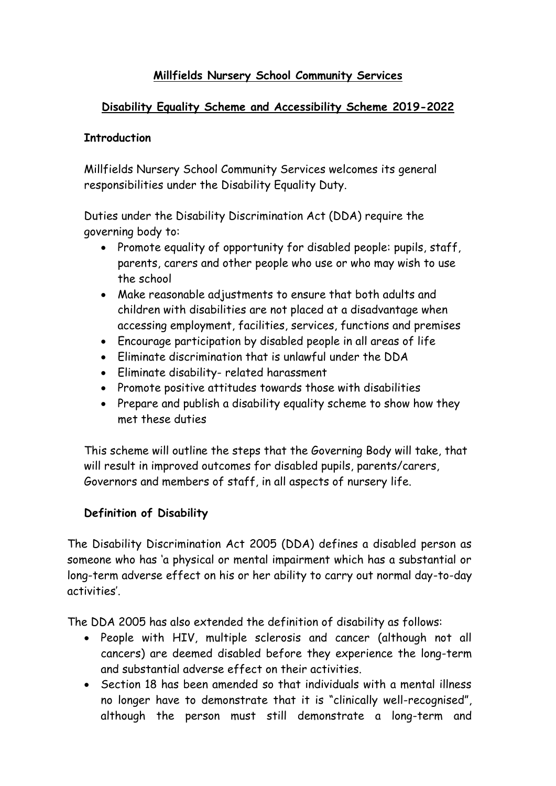### **Millfields Nursery School Community Services**

### **Disability Equality Scheme and Accessibility Scheme 2019-2022**

#### **Introduction**

Millfields Nursery School Community Services welcomes its general responsibilities under the Disability Equality Duty.

Duties under the Disability Discrimination Act (DDA) require the governing body to:

- Promote equality of opportunity for disabled people: pupils, staff, parents, carers and other people who use or who may wish to use the school
- Make reasonable adjustments to ensure that both adults and children with disabilities are not placed at a disadvantage when accessing employment, facilities, services, functions and premises
- Encourage participation by disabled people in all areas of life
- Eliminate discrimination that is unlawful under the DDA
- Eliminate disability- related harassment
- Promote positive attitudes towards those with disabilities
- Prepare and publish a disability equality scheme to show how they met these duties

This scheme will outline the steps that the Governing Body will take, that will result in improved outcomes for disabled pupils, parents/carers, Governors and members of staff, in all aspects of nursery life.

### **Definition of Disability**

The Disability Discrimination Act 2005 (DDA) defines a disabled person as someone who has 'a physical or mental impairment which has a substantial or long-term adverse effect on his or her ability to carry out normal day-to-day activities'.

The DDA 2005 has also extended the definition of disability as follows:

- People with HIV, multiple sclerosis and cancer (although not all cancers) are deemed disabled before they experience the long-term and substantial adverse effect on their activities.
- Section 18 has been amended so that individuals with a mental illness no longer have to demonstrate that it is "clinically well-recognised", although the person must still demonstrate a long-term and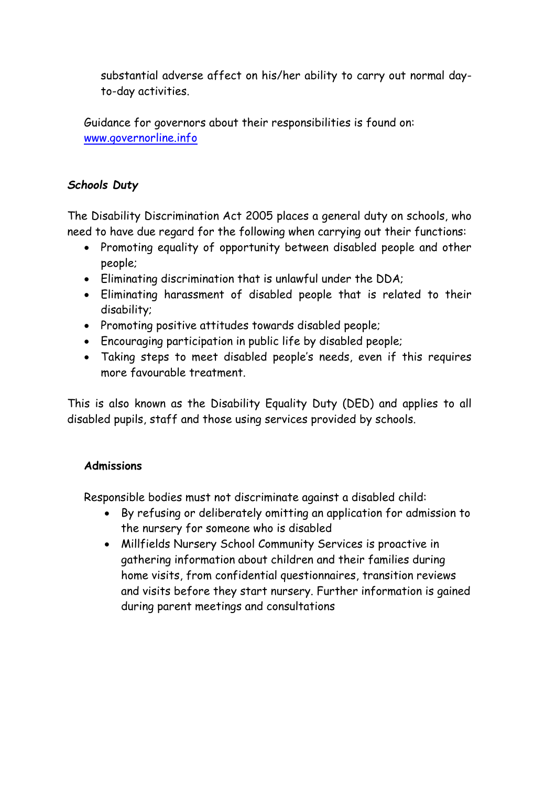substantial adverse affect on his/her ability to carry out normal dayto-day activities.

Guidance for governors about their responsibilities is found on: [www.governorline.info](http://www.governorline.info/)

### *Schools Duty*

The Disability Discrimination Act 2005 places a general duty on schools, who need to have due regard for the following when carrying out their functions:

- Promoting equality of opportunity between disabled people and other people;
- Eliminating discrimination that is unlawful under the DDA;
- Eliminating harassment of disabled people that is related to their disability;
- Promoting positive attitudes towards disabled people;
- Encouraging participation in public life by disabled people;
- Taking steps to meet disabled people's needs, even if this requires more favourable treatment.

This is also known as the Disability Equality Duty (DED) and applies to all disabled pupils, staff and those using services provided by schools.

### **Admissions**

Responsible bodies must not discriminate against a disabled child:

- By refusing or deliberately omitting an application for admission to the nursery for someone who is disabled
- Millfields Nursery School Community Services is proactive in gathering information about children and their families during home visits, from confidential questionnaires, transition reviews and visits before they start nursery. Further information is gained during parent meetings and consultations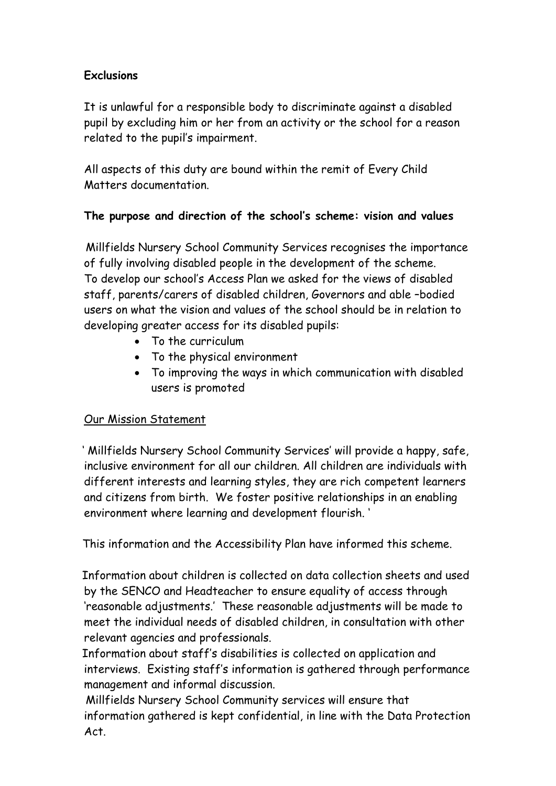### **Exclusions**

It is unlawful for a responsible body to discriminate against a disabled pupil by excluding him or her from an activity or the school for a reason related to the pupil's impairment.

All aspects of this duty are bound within the remit of Every Child Matters documentation.

### **The purpose and direction of the school's scheme: vision and values**

 Millfields Nursery School Community Services recognises the importance of fully involving disabled people in the development of the scheme. To develop our school's Access Plan we asked for the views of disabled staff, parents/carers of disabled children, Governors and able –bodied users on what the vision and values of the school should be in relation to developing greater access for its disabled pupils:

- To the curriculum
- To the physical environment
- To improving the ways in which communication with disabled users is promoted

### Our Mission Statement

 ' Millfields Nursery School Community Services' will provide a happy, safe, inclusive environment for all our children. All children are individuals with different interests and learning styles, they are rich competent learners and citizens from birth. We foster positive relationships in an enabling environment where learning and development flourish. '

This information and the Accessibility Plan have informed this scheme.

 Information about children is collected on data collection sheets and used by the SENCO and Headteacher to ensure equality of access through 'reasonable adjustments.' These reasonable adjustments will be made to meet the individual needs of disabled children, in consultation with other relevant agencies and professionals.

 Information about staff's disabilities is collected on application and interviews. Existing staff's information is gathered through performance management and informal discussion.

 Millfields Nursery School Community services will ensure that information gathered is kept confidential, in line with the Data Protection Act.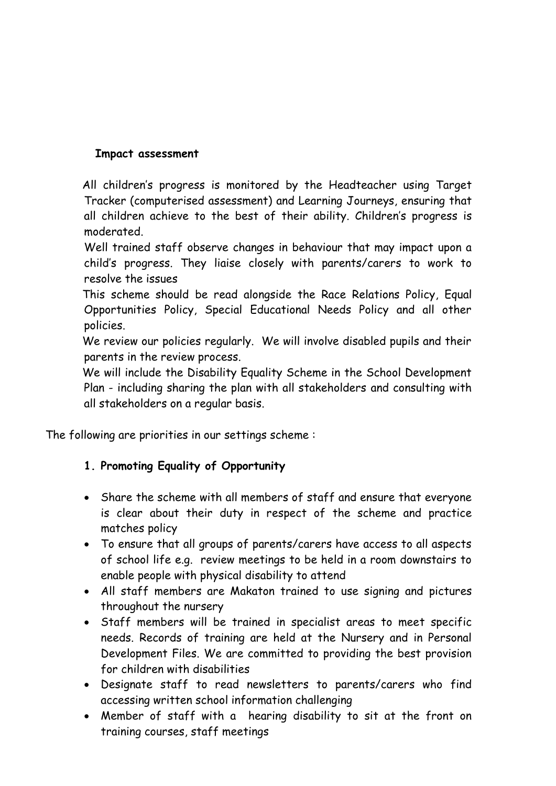#### **Impact assessment**

 All children's progress is monitored by the Headteacher using Target Tracker (computerised assessment) and Learning Journeys, ensuring that all children achieve to the best of their ability. Children's progress is moderated.

Well trained staff observe changes in behaviour that may impact upon a child's progress. They liaise closely with parents/carers to work to resolve the issues

 This scheme should be read alongside the Race Relations Policy, Equal Opportunities Policy, Special Educational Needs Policy and all other policies.

We review our policies regularly. We will involve disabled pupils and their parents in the review process.

 We will include the Disability Equality Scheme in the School Development Plan - including sharing the plan with all stakeholders and consulting with all stakeholders on a regular basis.

The following are priorities in our settings scheme :

# **1. Promoting Equality of Opportunity**

- Share the scheme with all members of staff and ensure that everyone is clear about their duty in respect of the scheme and practice matches policy
- To ensure that all groups of parents/carers have access to all aspects of school life e.g. review meetings to be held in a room downstairs to enable people with physical disability to attend
- All staff members are Makaton trained to use signing and pictures throughout the nursery
- Staff members will be trained in specialist areas to meet specific needs. Records of training are held at the Nursery and in Personal Development Files. We are committed to providing the best provision for children with disabilities
- Designate staff to read newsletters to parents/carers who find accessing written school information challenging
- Member of staff with a hearing disability to sit at the front on training courses, staff meetings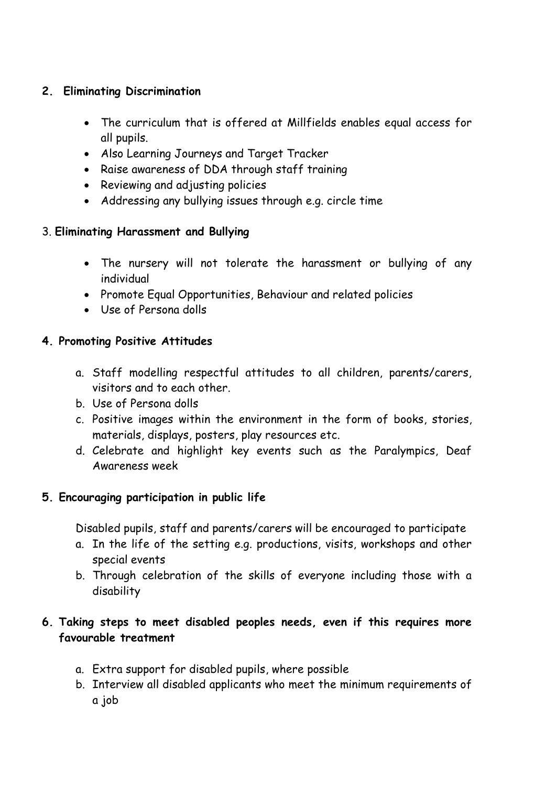### **2. Eliminating Discrimination**

- The curriculum that is offered at Millfields enables equal access for all pupils.
- Also Learning Journeys and Target Tracker
- Raise awareness of DDA through staff training
- Reviewing and adjusting policies
- Addressing any bullying issues through e.g. circle time

# 3. **Eliminating Harassment and Bullying**

- The nursery will not tolerate the harassment or bullying of any individual
- Promote Equal Opportunities, Behaviour and related policies
- Use of Persona dolls

# **4. Promoting Positive Attitudes**

- a. Staff modelling respectful attitudes to all children, parents/carers, visitors and to each other.
- b. Use of Persona dolls
- c. Positive images within the environment in the form of books, stories, materials, displays, posters, play resources etc.
- d. Celebrate and highlight key events such as the Paralympics, Deaf Awareness week

# **5. Encouraging participation in public life**

Disabled pupils, staff and parents/carers will be encouraged to participate

- a. In the life of the setting e.g. productions, visits, workshops and other special events
- b. Through celebration of the skills of everyone including those with a disability

# **6. Taking steps to meet disabled peoples needs, even if this requires more favourable treatment**

- a. Extra support for disabled pupils, where possible
- b. Interview all disabled applicants who meet the minimum requirements of a job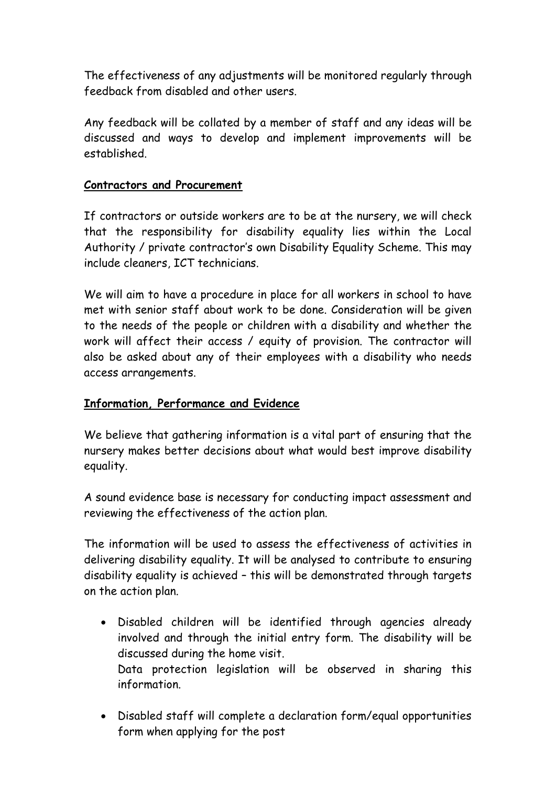The effectiveness of any adjustments will be monitored regularly through feedback from disabled and other users.

Any feedback will be collated by a member of staff and any ideas will be discussed and ways to develop and implement improvements will be established.

#### **Contractors and Procurement**

If contractors or outside workers are to be at the nursery, we will check that the responsibility for disability equality lies within the Local Authority / private contractor's own Disability Equality Scheme. This may include cleaners, ICT technicians.

We will aim to have a procedure in place for all workers in school to have met with senior staff about work to be done. Consideration will be given to the needs of the people or children with a disability and whether the work will affect their access / equity of provision. The contractor will also be asked about any of their employees with a disability who needs access arrangements.

### **Information, Performance and Evidence**

We believe that gathering information is a vital part of ensuring that the nursery makes better decisions about what would best improve disability equality.

A sound evidence base is necessary for conducting impact assessment and reviewing the effectiveness of the action plan.

The information will be used to assess the effectiveness of activities in delivering disability equality. It will be analysed to contribute to ensuring disability equality is achieved – this will be demonstrated through targets on the action plan.

- Disabled children will be identified through agencies already involved and through the initial entry form. The disability will be discussed during the home visit. Data protection legislation will be observed in sharing this information.
- Disabled staff will complete a declaration form/equal opportunities form when applying for the post